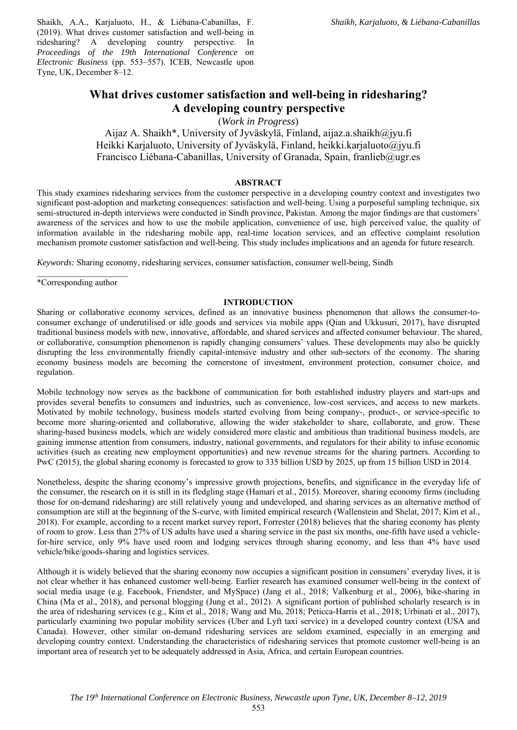Shaikh, A.A., Karjaluoto, H., & Liébana-Cabanillas, F. (2019). What drives customer satisfaction and well-being in ridesharing? A developing country perspective. In *Proceedings of the 19th International Conference on Electronic Business* (pp. 553–557). ICEB, Newcastle upon Tyne, UK, December 8–12.

# **What drives customer satisfaction and well-being in ridesharing? A developing country perspective**

(*Work in Progress*)

Aijaz A. Shaikh\*, University of Jyväskylä, Finland, aijaz.a.shaikh@jyu.fi Heikki Karjaluoto, University of Jyväskylä, Finland, heikki.karjaluoto@jyu.fi Francisco Liébana-Cabanillas, University of Granada, Spain, franlieb@ugr.es

#### **ABSTRACT**

This study examines ridesharing services from the customer perspective in a developing country context and investigates two significant post-adoption and marketing consequences: satisfaction and well-being. Using a purposeful sampling technique, six semi-structured in-depth interviews were conducted in Sindh province, Pakistan. Among the major findings are that customers' awareness of the services and how to use the mobile application, convenience of use, high perceived value, the quality of information available in the ridesharing mobile app, real-time location services, and an effective complaint resolution mechanism promote customer satisfaction and well-being. This study includes implications and an agenda for future research.

*Keywords:* Sharing economy, ridesharing services, consumer satisfaction, consumer well-being, Sindh

\*Corresponding author

#### **INTRODUCTION**

Sharing or collaborative economy services, defined as an innovative business phenomenon that allows the consumer-toconsumer exchange of underutilised or idle goods and services via mobile apps (Qian and Ukkusuri, 2017), have disrupted traditional business models with new, innovative, affordable, and shared services and affected consumer behaviour. The shared, or collaborative, consumption phenomenon is rapidly changing consumers' values. These developments may also be quickly disrupting the less environmentally friendly capital-intensive industry and other sub-sectors of the economy. The sharing economy business models are becoming the cornerstone of investment, environment protection, consumer choice, and regulation.

Mobile technology now serves as the backbone of communication for both established industry players and start-ups and provides several benefits to consumers and industries, such as convenience, low-cost services, and access to new markets. Motivated by mobile technology, business models started evolving from being company-, product-, or service-specific to become more sharing-oriented and collaborative, allowing the wider stakeholder to share, collaborate, and grow. These sharing-based business models, which are widely considered more elastic and ambitious than traditional business models, are gaining immense attention from consumers, industry, national governments, and regulators for their ability to infuse economic activities (such as creating new employment opportunities) and new revenue streams for the sharing partners. According to PwC (2015), the global sharing economy is forecasted to grow to 335 billion USD by 2025, up from 15 billion USD in 2014.

Nonetheless, despite the sharing economy's impressive growth projections, benefits, and significance in the everyday life of the consumer, the research on it is still in its fledgling stage (Hamari et al., 2015). Moreover, sharing economy firms (including those for on-demand ridesharing) are still relatively young and undeveloped, and sharing services as an alternative method of consumption are still at the beginning of the S-curve, with limited empirical research (Wallenstein and Shelat, 2017; Kim et al., 2018). For example, according to a recent market survey report, Forrester (2018) believes that the sharing economy has plenty of room to grow. Less than 27% of US adults have used a sharing service in the past six months, one-fifth have used a vehiclefor-hire service, only 9% have used room and lodging services through sharing economy, and less than 4% have used vehicle/bike/goods-sharing and logistics services.

Although it is widely believed that the sharing economy now occupies a significant position in consumers' everyday lives, it is not clear whether it has enhanced customer well-being. Earlier research has examined consumer well-being in the context of social media usage (e.g. Facebook, Friendster, and MySpace) (Jang et al., 2018; Valkenburg et al., 2006), bike-sharing in China (Ma et al., 2018), and personal blogging (Jung et al., 2012). A significant portion of published scholarly research is in the area of ridesharing services (e.g., Kim et al., 2018; Wang and Mu, 2018; Peticca-Harris et al., 2018; Urbinati et al., 2017), particularly examining two popular mobility services (Uber and Lyft taxi service) in a developed country context (USA and Canada). However, other similar on-demand ridesharing services are seldom examined, especially in an emerging and developing country context. Understanding the characteristics of ridesharing services that promote customer well-being is an important area of research yet to be adequately addressed in Asia, Africa, and certain European countries.

553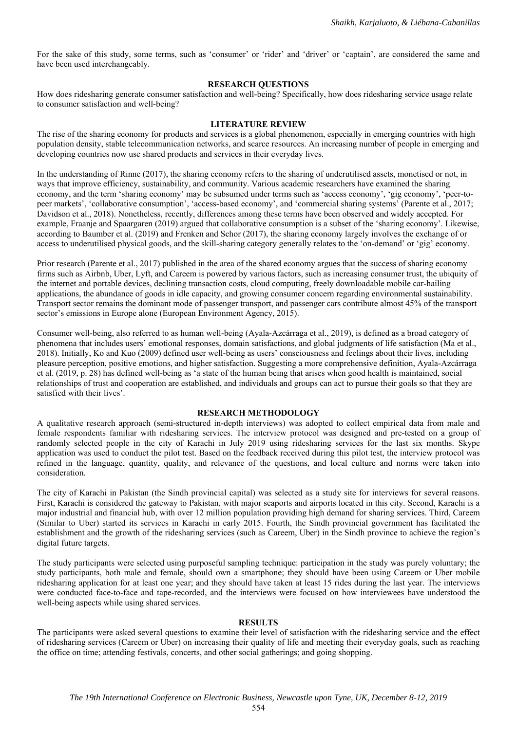For the sake of this study, some terms, such as 'consumer' or 'rider' and 'driver' or 'captain', are considered the same and have been used interchangeably.

# **RESEARCH QUESTIONS**

How does ridesharing generate consumer satisfaction and well-being? Specifically, how does ridesharing service usage relate to consumer satisfaction and well-being?

#### **LITERATURE REVIEW**

The rise of the sharing economy for products and services is a global phenomenon, especially in emerging countries with high population density, stable telecommunication networks, and scarce resources. An increasing number of people in emerging and developing countries now use shared products and services in their everyday lives.

In the understanding of Rinne (2017), the sharing economy refers to the sharing of underutilised assets, monetised or not, in ways that improve efficiency, sustainability, and community. Various academic researchers have examined the sharing economy, and the term 'sharing economy' may be subsumed under terms such as 'access economy', 'gig economy', 'peer-topeer markets', 'collaborative consumption', 'access-based economy', and 'commercial sharing systems' (Parente et al., 2017; Davidson et al., 2018). Nonetheless, recently, differences among these terms have been observed and widely accepted. For example, Fraanje and Spaargaren (2019) argued that collaborative consumption is a subset of the 'sharing economy'. Likewise, according to Baumber et al. (2019) and Frenken and Schor (2017), the sharing economy largely involves the exchange of or access to underutilised physical goods, and the skill-sharing category generally relates to the 'on-demand' or 'gig' economy.

Prior research (Parente et al., 2017) published in the area of the shared economy argues that the success of sharing economy firms such as Airbnb, Uber, Lyft, and Careem is powered by various factors, such as increasing consumer trust, the ubiquity of the internet and portable devices, declining transaction costs, cloud computing, freely downloadable mobile car-hailing applications, the abundance of goods in idle capacity, and growing consumer concern regarding environmental sustainability. Transport sector remains the dominant mode of passenger transport, and passenger cars contribute almost 45% of the transport sector's emissions in Europe alone (European Environment Agency, 2015).

Consumer well-being, also referred to as human well-being (Ayala-Azcárraga et al., 2019), is defined as a broad category of phenomena that includes users' emotional responses, domain satisfactions, and global judgments of life satisfaction (Ma et al., 2018). Initially, Ko and Kuo (2009) defined user well-being as users' consciousness and feelings about their lives, including pleasure perception, positive emotions, and higher satisfaction. Suggesting a more comprehensive definition, Ayala-Azcárraga et al. (2019, p. 28) has defined well-being as 'a state of the human being that arises when good health is maintained, social relationships of trust and cooperation are established, and individuals and groups can act to pursue their goals so that they are satisfied with their lives'.

## **RESEARCH METHODOLOGY**

A qualitative research approach (semi-structured in-depth interviews) was adopted to collect empirical data from male and female respondents familiar with ridesharing services. The interview protocol was designed and pre-tested on a group of randomly selected people in the city of Karachi in July 2019 using ridesharing services for the last six months. Skype application was used to conduct the pilot test. Based on the feedback received during this pilot test, the interview protocol was refined in the language, quantity, quality, and relevance of the questions, and local culture and norms were taken into consideration.

The city of Karachi in Pakistan (the Sindh provincial capital) was selected as a study site for interviews for several reasons. First, Karachi is considered the gateway to Pakistan, with major seaports and airports located in this city. Second, Karachi is a major industrial and financial hub, with over 12 million population providing high demand for sharing services. Third, Careem (Similar to Uber) started its services in Karachi in early 2015. Fourth, the Sindh provincial government has facilitated the establishment and the growth of the ridesharing services (such as Careem, Uber) in the Sindh province to achieve the region's digital future targets.

The study participants were selected using purposeful sampling technique: participation in the study was purely voluntary; the study participants, both male and female, should own a smartphone; they should have been using Careem or Uber mobile ridesharing application for at least one year; and they should have taken at least 15 rides during the last year. The interviews were conducted face-to-face and tape-recorded, and the interviews were focused on how interviewees have understood the well-being aspects while using shared services.

#### **RESULTS**

The participants were asked several questions to examine their level of satisfaction with the ridesharing service and the effect of ridesharing services (Careem or Uber) on increasing their quality of life and meeting their everyday goals, such as reaching the office on time; attending festivals, concerts, and other social gatherings; and going shopping.

554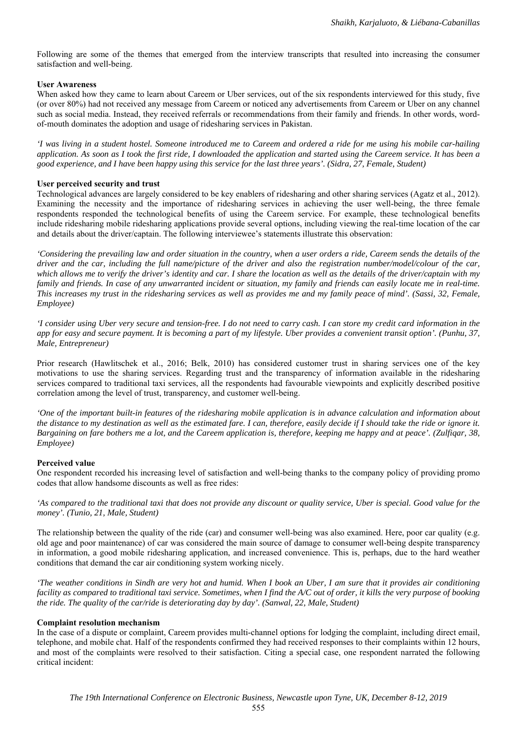Following are some of the themes that emerged from the interview transcripts that resulted into increasing the consumer satisfaction and well-being.

# **User Awareness**

When asked how they came to learn about Careem or Uber services, out of the six respondents interviewed for this study, five (or over 80%) had not received any message from Careem or noticed any advertisements from Careem or Uber on any channel such as social media. Instead, they received referrals or recommendations from their family and friends. In other words, wordof-mouth dominates the adoption and usage of ridesharing services in Pakistan.

*'I was living in a student hostel. Someone introduced me to Careem and ordered a ride for me using his mobile car-hailing application. As soon as I took the first ride, I downloaded the application and started using the Careem service. It has been a good experience, and I have been happy using this service for the last three years'. (Sidra, 27, Female, Student)* 

# **User perceived security and trust**

Technological advances are largely considered to be key enablers of ridesharing and other sharing services (Agatz et al., 2012). Examining the necessity and the importance of ridesharing services in achieving the user well-being, the three female respondents responded the technological benefits of using the Careem service. For example, these technological benefits include ridesharing mobile ridesharing applications provide several options, including viewing the real-time location of the car and details about the driver/captain. The following interviewee's statements illustrate this observation:

*'Considering the prevailing law and order situation in the country, when a user orders a ride, Careem sends the details of the driver and the car, including the full name/picture of the driver and also the registration number/model/colour of the car, which allows me to verify the driver's identity and car. I share the location as well as the details of the driver/captain with my family and friends. In case of any unwarranted incident or situation, my family and friends can easily locate me in real-time. This increases my trust in the ridesharing services as well as provides me and my family peace of mind'. (Sassi, 32, Female, Employee)* 

*'I consider using Uber very secure and tension-free. I do not need to carry cash. I can store my credit card information in the app for easy and secure payment. It is becoming a part of my lifestyle. Uber provides a convenient transit option'. (Punhu, 37, Male, Entrepreneur)* 

Prior research (Hawlitschek et al., 2016; Belk, 2010) has considered customer trust in sharing services one of the key motivations to use the sharing services. Regarding trust and the transparency of information available in the ridesharing services compared to traditional taxi services, all the respondents had favourable viewpoints and explicitly described positive correlation among the level of trust, transparency, and customer well-being.

*'One of the important built-in features of the ridesharing mobile application is in advance calculation and information about the distance to my destination as well as the estimated fare. I can, therefore, easily decide if I should take the ride or ignore it. Bargaining on fare bothers me a lot, and the Careem application is, therefore, keeping me happy and at peace'. (Zulfiqar, 38, Employee)* 

# **Perceived value**

One respondent recorded his increasing level of satisfaction and well-being thanks to the company policy of providing promo codes that allow handsome discounts as well as free rides:

*'As compared to the traditional taxi that does not provide any discount or quality service, Uber is special. Good value for the money'. (Tunio, 21, Male, Student)* 

The relationship between the quality of the ride (car) and consumer well-being was also examined. Here, poor car quality (e.g. old age and poor maintenance) of car was considered the main source of damage to consumer well-being despite transparency in information, a good mobile ridesharing application, and increased convenience. This is, perhaps, due to the hard weather conditions that demand the car air conditioning system working nicely.

*'The weather conditions in Sindh are very hot and humid. When I book an Uber, I am sure that it provides air conditioning facility as compared to traditional taxi service. Sometimes, when I find the A/C out of order, it kills the very purpose of booking the ride. The quality of the car/ride is deteriorating day by day'. (Sanwal, 22, Male, Student)* 

# **Complaint resolution mechanism**

In the case of a dispute or complaint, Careem provides multi-channel options for lodging the complaint, including direct email, telephone, and mobile chat. Half of the respondents confirmed they had received responses to their complaints within 12 hours, and most of the complaints were resolved to their satisfaction. Citing a special case, one respondent narrated the following critical incident: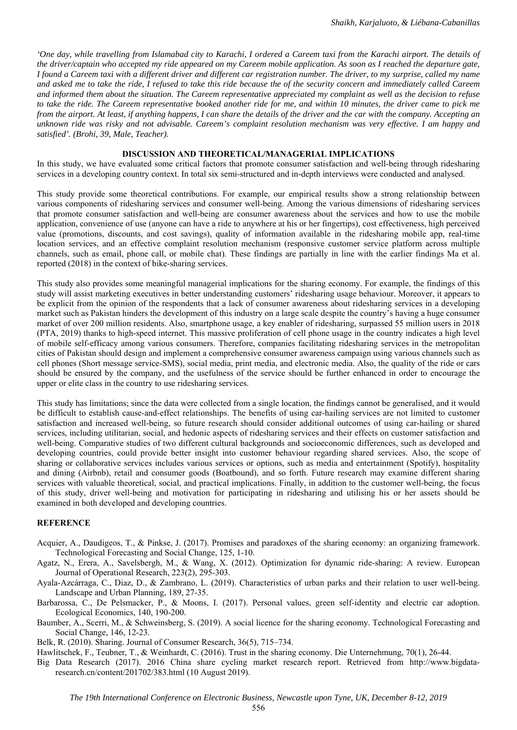*'One day, while travelling from Islamabad city to Karachi, I ordered a Careem taxi from the Karachi airport. The details of the driver/captain who accepted my ride appeared on my Careem mobile application. As soon as I reached the departure gate, I found a Careem taxi with a different driver and different car registration number. The driver, to my surprise, called my name and asked me to take the ride, I refused to take this ride because the of the security concern and immediately called Careem and informed them about the situation. The Careem representative appreciated my complaint as well as the decision to refuse to take the ride. The Careem representative booked another ride for me, and within 10 minutes, the driver came to pick me from the airport. At least, if anything happens, I can share the details of the driver and the car with the company. Accepting an unknown ride was risky and not advisable. Careem's complaint resolution mechanism was very effective. I am happy and satisfied'. (Brohi, 39, Male, Teacher).* 

#### **DISCUSSION AND THEORETICAL/MANAGERIAL IMPLICATIONS**

In this study, we have evaluated some critical factors that promote consumer satisfaction and well-being through ridesharing services in a developing country context. In total six semi-structured and in-depth interviews were conducted and analysed.

This study provide some theoretical contributions. For example, our empirical results show a strong relationship between various components of ridesharing services and consumer well-being. Among the various dimensions of ridesharing services that promote consumer satisfaction and well-being are consumer awareness about the services and how to use the mobile application, convenience of use (anyone can have a ride to anywhere at his or her fingertips), cost effectiveness, high perceived value (promotions, discounts, and cost savings), quality of information available in the ridesharing mobile app, real-time location services, and an effective complaint resolution mechanism (responsive customer service platform across multiple channels, such as email, phone call, or mobile chat). These findings are partially in line with the earlier findings Ma et al. reported (2018) in the context of bike-sharing services.

This study also provides some meaningful managerial implications for the sharing economy. For example, the findings of this study will assist marketing executives in better understanding customers' ridesharing usage behaviour. Moreover, it appears to be explicit from the opinion of the respondents that a lack of consumer awareness about ridesharing services in a developing market such as Pakistan hinders the development of this industry on a large scale despite the country's having a huge consumer market of over 200 million residents. Also, smartphone usage, a key enabler of ridesharing, surpassed 55 million users in 2018 (PTA, 2019) thanks to high-speed internet. This massive proliferation of cell phone usage in the country indicates a high level of mobile self-efficacy among various consumers. Therefore, companies facilitating ridesharing services in the metropolitan cities of Pakistan should design and implement a comprehensive consumer awareness campaign using various channels such as cell phones (Short message service-SMS), social media, print media, and electronic media. Also, the quality of the ride or cars should be ensured by the company, and the usefulness of the service should be further enhanced in order to encourage the upper or elite class in the country to use ridesharing services.

This study has limitations; since the data were collected from a single location, the findings cannot be generalised, and it would be difficult to establish cause-and-effect relationships. The benefits of using car-hailing services are not limited to customer satisfaction and increased well-being, so future research should consider additional outcomes of using car-hailing or shared services, including utilitarian, social, and hedonic aspects of ridesharing services and their effects on customer satisfaction and well-being. Comparative studies of two different cultural backgrounds and socioeconomic differences, such as developed and developing countries, could provide better insight into customer behaviour regarding shared services. Also, the scope of sharing or collaborative services includes various services or options, such as media and entertainment (Spotify), hospitality and dining (Airbnb), retail and consumer goods (Boatbound), and so forth. Future research may examine different sharing services with valuable theoretical, social, and practical implications. Finally, in addition to the customer well-being, the focus of this study, driver well-being and motivation for participating in ridesharing and utilising his or her assets should be examined in both developed and developing countries.

#### **REFERENCE**

- Acquier, A., Daudigeos, T., & Pinkse, J. (2017). Promises and paradoxes of the sharing economy: an organizing framework. Technological Forecasting and Social Change, 125, 1-10.
- Agatz, N., Erera, A., Savelsbergh, M., & Wang, X. (2012). Optimization for dynamic ride-sharing: A review. European Journal of Operational Research, 223(2), 295-303.
- Ayala-Azcárraga, C., Diaz, D., & Zambrano, L. (2019). Characteristics of urban parks and their relation to user well-being. Landscape and Urban Planning, 189, 27-35.
- Barbarossa, C., De Pelsmacker, P., & Moons, I. (2017). Personal values, green self-identity and electric car adoption. Ecological Economics, 140, 190-200.
- Baumber, A., Scerri, M., & Schweinsberg, S. (2019). A social licence for the sharing economy. Technological Forecasting and Social Change, 146, 12-23.

Belk, R. (2010). Sharing. Journal of Consumer Research, 36(5), 715–734.

Hawlitschek, F., Teubner, T., & Weinhardt, C. (2016). Trust in the sharing economy. Die Unternehmung, 70(1), 26-44.

Big Data Research (2017). 2016 China share cycling market research report. Retrieved from http://www.bigdataresearch.cn/content/201702/383.html (10 August 2019).